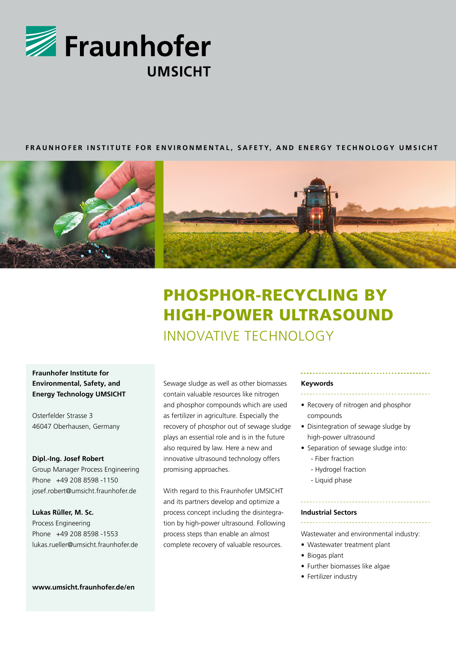

# **FRAUNHOFER INSTITUTE FOR ENVIRONMENTAL, SAFETY, AND ENERGY TECHNOLOGY UMSICHT**



# PHOSPHOR-RECYCLING BY HIGH-POWER ULTRASOUND INNOVATIVE TECHNOLOGY

# **Fraunhofer Institute for Environmental, Safety, and Energy Technology UMSICHT**

Osterfelder Strasse 3 46047 Oberhausen, Germany

## **Dipl.-Ing. Josef Robert**

Group Manager Process Engineering Phone +49 208 8598 -1150 josef.robert@umsicht.fraunhofer.de

#### **Lukas Rüller, M. Sc.**

Process Engineering Phone +49 208 8598 -1553 lukas.rueller@umsicht.fraunhofer.de

#### **www.umsicht.fraunhofer.de/en**

Sewage sludge as well as other biomasses contain valuable resources like nitrogen and phosphor compounds which are used as fertilizer in agriculture. Especially the recovery of phosphor out of sewage sludge plays an essential role and is in the future also required by law. Here a new and innovative ultrasound technology offers promising approaches.

With regard to this Fraunhofer UMSICHT and its partners develop and optimize a process concept including the disintegration by high-power ultrasound. Following process steps than enable an almost complete recovery of valuable resources.

#### **Keywords**

- 
- Recovery of nitrogen and phosphor compounds
- Disintegration of sewage sludge by high-power ultrasound
- Separation of sewage sludge into:
	- Fiber fraction
	- Hydrogel fraction
	- Liquid phase

#### **Industrial Sectors**

Wastewater and environmental industry:

- Wastewater treatment plant
- Biogas plant
- Further biomasses like algae
- Fertilizer industry